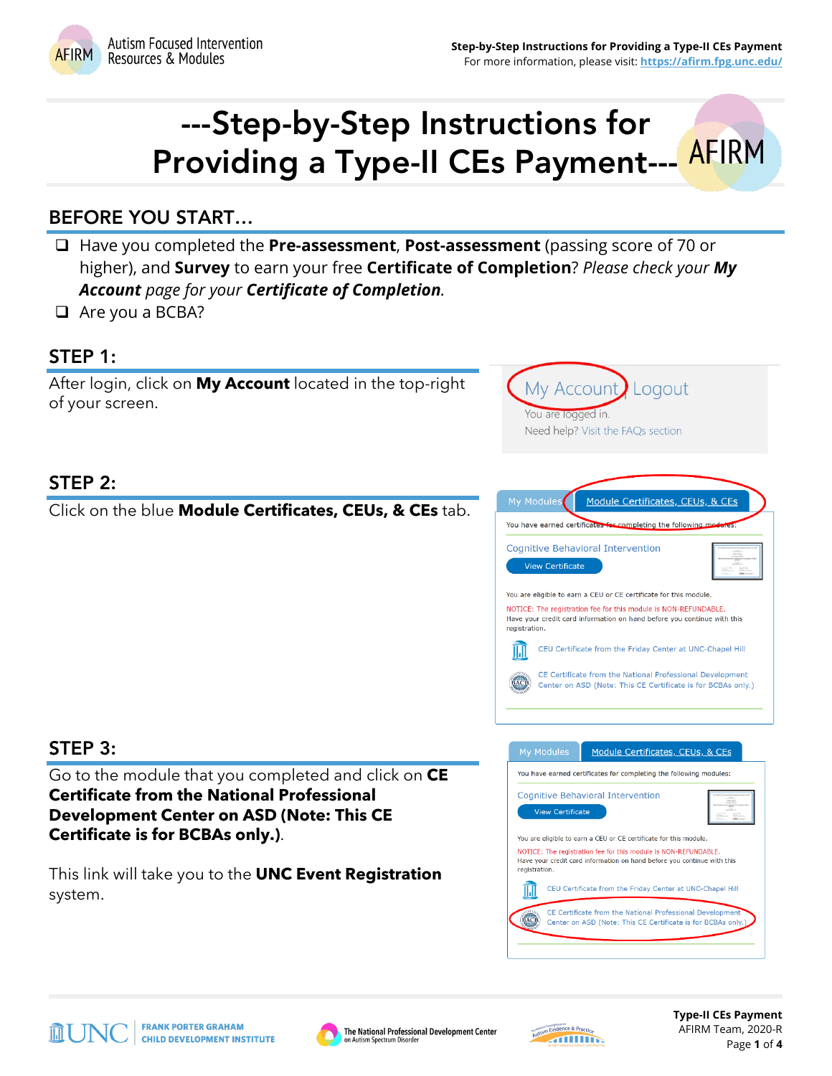

My Account

You are logged in.

Need help? Visit the FAQs section

# ---Step-by-Step Instructions for Providing a Type-II CEs Payment--- AFIRM

# BEFORE YOU START…

- Have you completed the **Pre-assessment**, **Post-assessment** (passing score of 70 or higher), and **Survey** to earn your free **Certificate of Completion**? *Please check your My Account page for your Certificate of Completion.*
- $\Box$  Are you a BCBA?

#### STEP 1:

After login, click on **My Account** located in the top-right of your screen.

# STEP 2:

Click on the blue **Module Certificates, CEUs, & CEs** tab.



Logout

# STEP 3:

Go to the module that you completed and click on **CE Certificate from the National Professional Development Center on ASD (Note: This CE Certificate is for BCBAs only.)**.

This link will take you to the **UNC Event Registration** system.





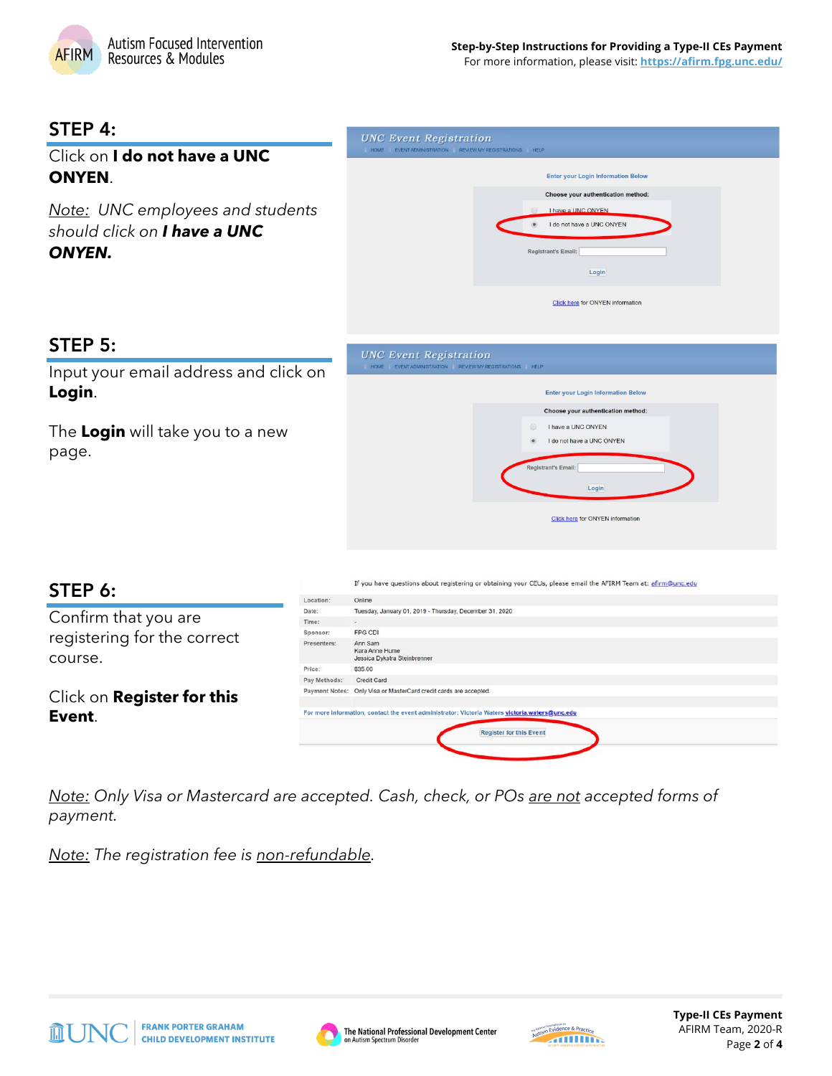

For more information, please visit: **<https://afirm.fpg.unc.edu/>**

#### STEP 4:

|                                                                                                 |           | <b>UNC EVEIL Registration</b><br>HOME EVENT ADMINISTRATION REVIEW MY REGISTRATIONS HELP                                                                                 |
|-------------------------------------------------------------------------------------------------|-----------|-------------------------------------------------------------------------------------------------------------------------------------------------------------------------|
| Click on I do not have a UNC<br><b>ONYEN.</b>                                                   |           | <b>Enter your Login Information Below</b>                                                                                                                               |
| <b>Note:</b> UNC employees and students<br>should click on <b>I have a UNC</b><br><b>ONYEN.</b> |           | Choose your authentication method:<br>I have a UNC ONYEN<br>I do not have a UNC ONYEN<br><b>Registrant's Email:</b><br>Login<br><b>Click here for ONYEN information</b> |
| STEP 5:                                                                                         |           | <b>UNC Event Registration</b>                                                                                                                                           |
| Input your email address and click on<br>Login.                                                 |           | HOME EVENT ADMINISTRATION REVIEW MY REGISTRATIONS HELP<br><b>Enter your Login Information Below</b><br>Choose your authentication method:                               |
| The Login will take you to a new<br>page.                                                       |           | I have a UNC ONYEN<br>$\circ$<br>I do not have a UNC ONYEN<br><b>Registrant's Email:</b><br>Login                                                                       |
|                                                                                                 |           | Click here for ONYEN information                                                                                                                                        |
| STEP 6:                                                                                         | Location: | If you have questions about registering or obtaining your CEUs, please email the AFIRM Team at: afirm@unc.edu<br>Online                                                 |

| STEP 6:                           |              | If you have questions about registering or obtaining your CEUs, please email the AFIRM Team at: afirm@unc.edu                     |
|-----------------------------------|--------------|-----------------------------------------------------------------------------------------------------------------------------------|
|                                   | Location:    | Online                                                                                                                            |
| Confirm that you are              | Date:        | Tuesday, January 01, 2019 - Thursday, December 31, 2020                                                                           |
|                                   | Time:        | $\sim$                                                                                                                            |
| registering for the correct       | Sponsor:     | FPG CDI                                                                                                                           |
| course.                           | Presenters:  | Ann Sam<br>Kara Anne Hume<br>Jessica Dykstra Steinbrenner                                                                         |
|                                   | Price:       | \$35.00                                                                                                                           |
|                                   | Pay Methods: | Credit Card                                                                                                                       |
| Click on <b>Register for this</b> |              | Payment Notes: Only Visa or MasterCard credit cards are accepted.                                                                 |
| Event.                            |              | For more information, contact the event administrator: Victoria Waters victoria, waters@unc.edu<br><b>Register for this Event</b> |

**IINC Frent Peristrati** 

*Note: Only Visa or Mastercard are accepted. Cash, check, or POs are not accepted forms of payment.*

*Note: The registration fee is non-refundable.*





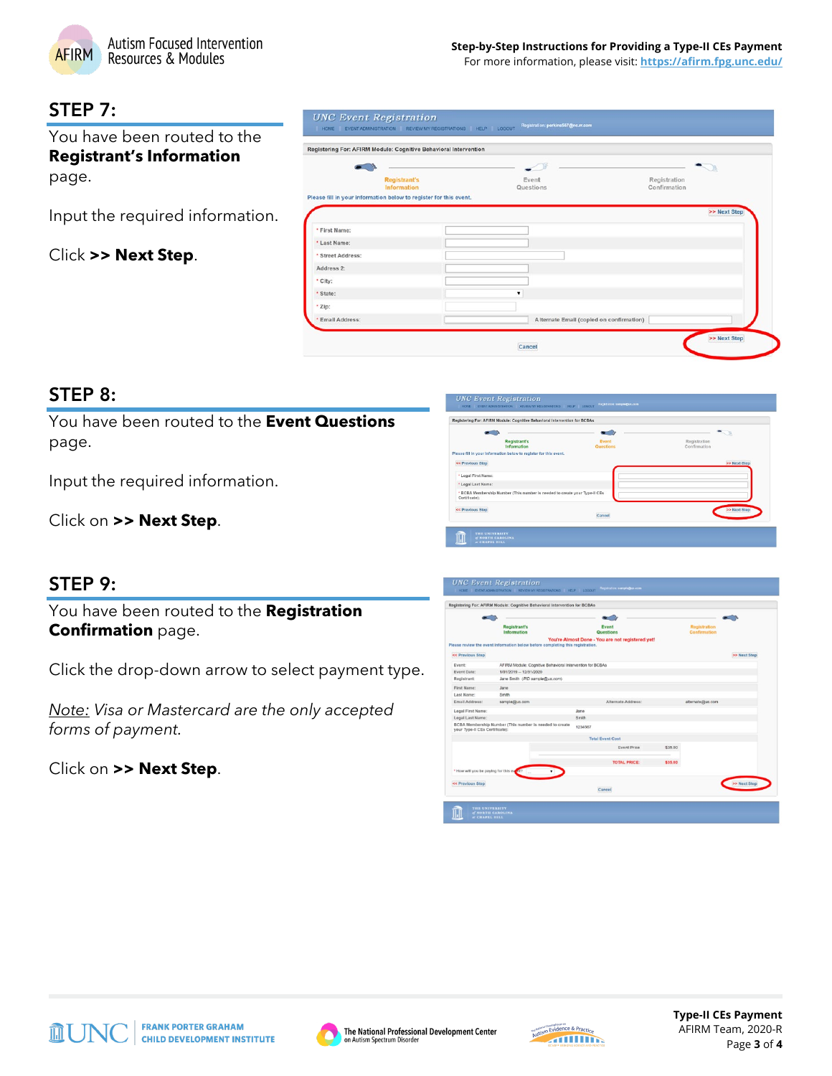

For more information, please visit: **<https://afirm.fpg.unc.edu/>**

### STEP 7:

You have been routed to the **Registrant's Information** page.

Input the required information.

Click **>> Next Step**.

|                   | Registering For: AFIRM Module: Cognitive Behavioral Intervention  |                                          |                              |
|-------------------|-------------------------------------------------------------------|------------------------------------------|------------------------------|
|                   |                                                                   |                                          |                              |
|                   | <b>Registrant's</b><br>Information                                | Event<br>Questions                       | Registration<br>Confirmation |
|                   | Please fill in your information below to register for this event. |                                          |                              |
|                   |                                                                   |                                          | >> Next Step                 |
| * First Name:     |                                                                   |                                          |                              |
| * Last Name:      |                                                                   |                                          |                              |
| * Street Address: |                                                                   |                                          |                              |
| Address 2:        |                                                                   |                                          |                              |
| * City:           |                                                                   |                                          |                              |
| * State:          |                                                                   | $\pmb{\mathrm{v}}$                       |                              |
| * Zip:            |                                                                   |                                          |                              |
| * Email Address:  |                                                                   | Alternate Email (copied on confirmation) |                              |

#### STEP 8:

You have been routed to the **Event Questions** page.

Input the required information.

Click on **>> Next Step**.

| <b>Registrant's</b><br>Information                                                          | Event<br>Questions | Registration<br>Confirmation |
|---------------------------------------------------------------------------------------------|--------------------|------------------------------|
| Please fill in your information below to register for this event.                           |                    |                              |
| << Previous Step                                                                            |                    | >> Next Step                 |
| * Legal First Name:                                                                         |                    |                              |
| * Logal Last Name:                                                                          |                    |                              |
| * BCBA Membership Number (This number is needed to create your Type-II CEs<br>Certificate): |                    |                              |
| << Previous Step                                                                            |                    | >> Next Step                 |
|                                                                                             | Cancel             |                              |

# STEP 9:

You have been routed to the **Registration Confirmation** page.

Click the drop-down arrow to select payment type.

*Note: Visa or Mastercard are the only accepted forms of payment.*

Click on **>> Next Step**.

|                                          | <b>Registrant's</b><br>Information                                             |         | Event<br>Questions                               |         | <b>Registration</b><br>Confirmation |              |
|------------------------------------------|--------------------------------------------------------------------------------|---------|--------------------------------------------------|---------|-------------------------------------|--------------|
|                                          | Please review the event information below before completing this registration. |         | You're Almost Done - You are not registered yet! |         |                                     |              |
| << Previous Step                         |                                                                                |         |                                                  |         |                                     | >> Next Step |
| Event:                                   | AFIRM Module: Cognitive Behavioral Intervention for BCBAs                      |         |                                                  |         |                                     |              |
| Event Date:                              | 1/01/2019 -- 12/31/2020                                                        |         |                                                  |         |                                     |              |
| Registrant:                              | Jane Smith (PID sample@us.com)                                                 |         |                                                  |         |                                     |              |
| First Name:                              | Jane                                                                           |         |                                                  |         |                                     |              |
| Last Name:                               | Smith                                                                          |         |                                                  |         |                                     |              |
| Email Address:                           | sample@us.com                                                                  |         | Alternate Address:                               |         | alternate@us.com                    |              |
| Legal First Name:                        |                                                                                | Jane    |                                                  |         |                                     |              |
| Legal Last Name:                         |                                                                                | Smith   |                                                  |         |                                     |              |
| your Type-II CEs Certificate):           | BCBA Membership Number (This number is needed to create                        | 1234567 |                                                  |         |                                     |              |
|                                          |                                                                                |         | <b>Total Event Cost</b>                          |         |                                     |              |
|                                          |                                                                                |         | <b>Event Price</b>                               | \$35.00 |                                     |              |
|                                          |                                                                                |         | <b>TOTAL PRICE:</b>                              | \$35.00 |                                     |              |
| . How will you be paying for this event? |                                                                                |         |                                                  |         |                                     |              |
| << Previous Step                         |                                                                                |         | Cancel                                           |         |                                     | >> Next Step |